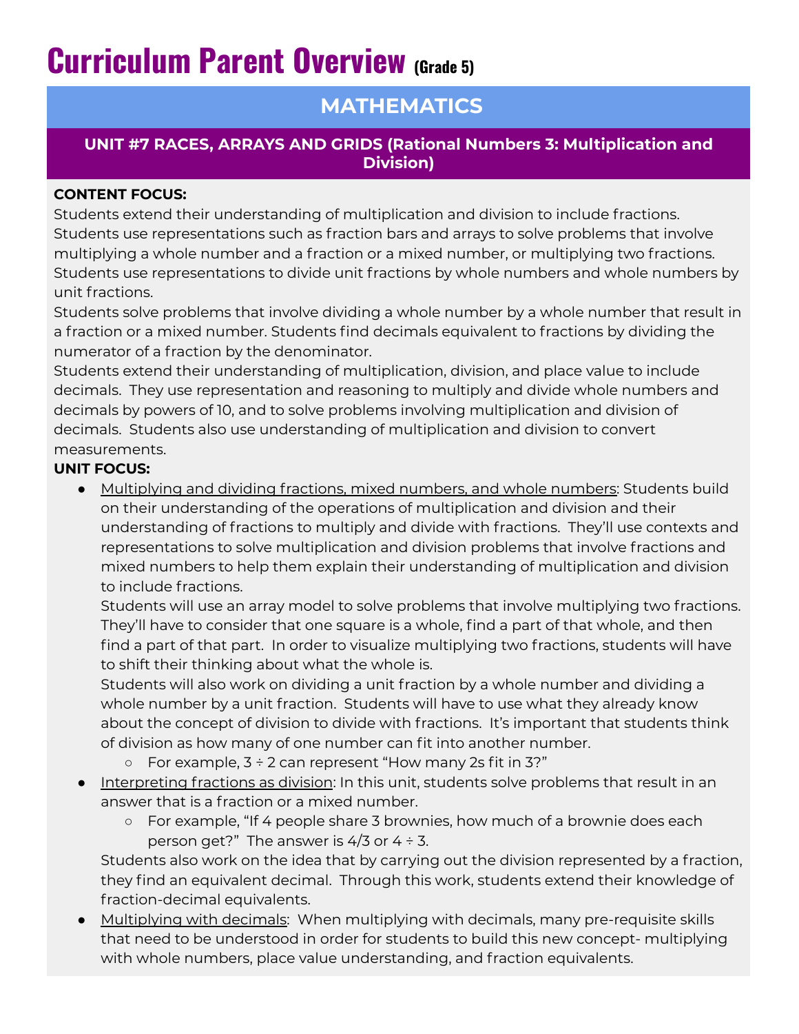# **Curriculum Parent Overview (Grade 5)**

## **MATHEMATICS**

### **UNIT #7 RACES, ARRAYS AND GRIDS (Rational Numbers 3: Multiplication and Division)**

#### **CONTENT FOCUS:**

Students extend their understanding of multiplication and division to include fractions. Students use representations such as fraction bars and arrays to solve problems that involve multiplying a whole number and a fraction or a mixed number, or multiplying two fractions. Students use representations to divide unit fractions by whole numbers and whole numbers by unit fractions.

Students solve problems that involve dividing a whole number by a whole number that result in a fraction or a mixed number. Students find decimals equivalent to fractions by dividing the numerator of a fraction by the denominator.

Students extend their understanding of multiplication, division, and place value to include decimals. They use representation and reasoning to multiply and divide whole numbers and decimals by powers of 10, and to solve problems involving multiplication and division of decimals. Students also use understanding of multiplication and division to convert measurements.

### **UNIT FOCUS:**

● Multiplying and dividing fractions, mixed numbers, and whole numbers: Students build on their understanding of the operations of multiplication and division and their understanding of fractions to multiply and divide with fractions. They'll use contexts and representations to solve multiplication and division problems that involve fractions and mixed numbers to help them explain their understanding of multiplication and division to include fractions.

Students will use an array model to solve problems that involve multiplying two fractions. They'll have to consider that one square is a whole, find a part of that whole, and then find a part of that part. In order to visualize multiplying two fractions, students will have to shift their thinking about what the whole is.

Students will also work on dividing a unit fraction by a whole number and dividing a whole number by a unit fraction. Students will have to use what they already know about the concept of division to divide with fractions. It's important that students think of division as how many of one number can fit into another number.

- $\circ$  For example,  $3 \div 2$  can represent "How many 2s fit in 3?"
- Interpreting fractions as division: In this unit, students solve problems that result in an answer that is a fraction or a mixed number.
	- For example, "If 4 people share 3 brownies, how much of a brownie does each person get?" The answer is  $4/3$  or  $4 \div 3$ .

Students also work on the idea that by carrying out the division represented by a fraction, they find an equivalent decimal. Through this work, students extend their knowledge of fraction-decimal equivalents.

● Multiplying with decimals: When multiplying with decimals, many pre-requisite skills that need to be understood in order for students to build this new concept- multiplying with whole numbers, place value understanding, and fraction equivalents.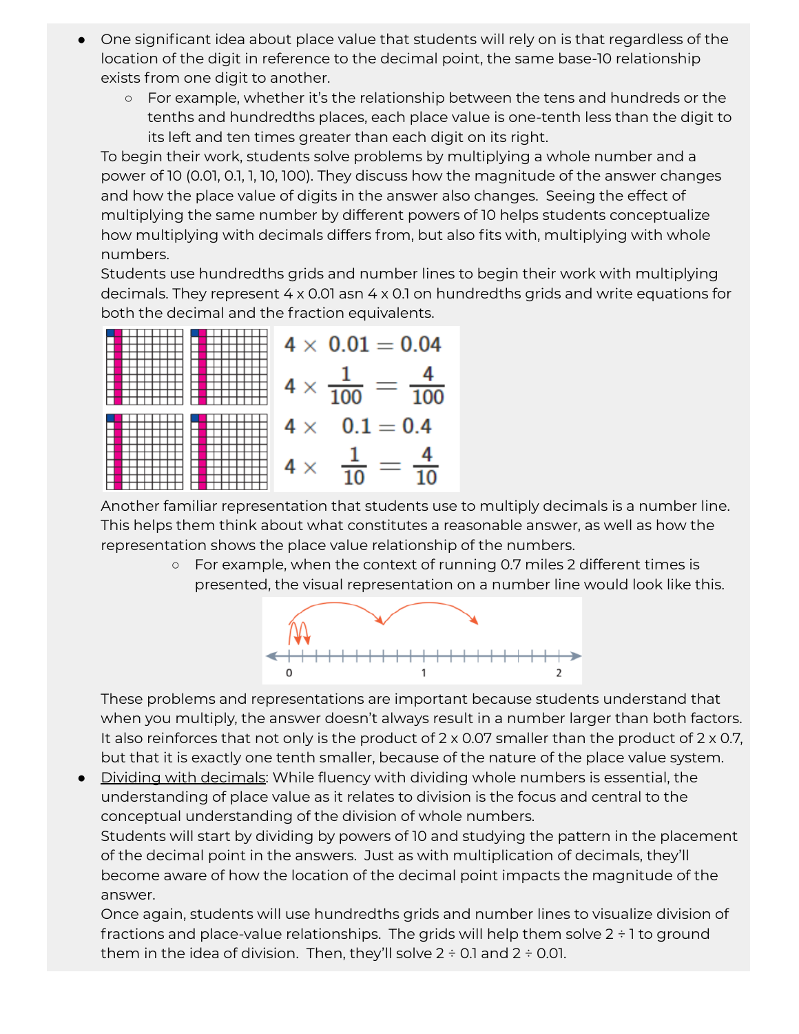- One significant idea about place value that students will rely on is that regardless of the location of the digit in reference to the decimal point, the same base-10 relationship exists from one digit to another.
	- For example, whether it's the relationship between the tens and hundreds or the tenths and hundredths places, each place value is one-tenth less than the digit to its left and ten times greater than each digit on its right.

To begin their work, students solve problems by multiplying a whole number and a power of 10 (0.01, 0.1, 1, 10, 100). They discuss how the magnitude of the answer changes and how the place value of digits in the answer also changes. Seeing the effect of multiplying the same number by different powers of 10 helps students conceptualize how multiplying with decimals differs from, but also fits with, multiplying with whole numbers.

Students use hundredths grids and number lines to begin their work with multiplying decimals. They represent 4 x 0.01 asn 4 x 0.1 on hundredths grids and write equations for both the decimal and the fraction equivalents.



Another familiar representation that students use to multiply decimals is a number line. This helps them think about what constitutes a reasonable answer, as well as how the representation shows the place value relationship of the numbers.

> ○ For example, when the context of running 0.7 miles 2 different times is presented, the visual representation on a number line would look like this.



These problems and representations are important because students understand that when you multiply, the answer doesn't always result in a number larger than both factors. It also reinforces that not only is the product of  $2 \times 0.07$  smaller than the product of  $2 \times 0.7$ , but that it is exactly one tenth smaller, because of the nature of the place value system.

● Dividing with decimals: While fluency with dividing whole numbers is essential, the understanding of place value as it relates to division is the focus and central to the conceptual understanding of the division of whole numbers.

Students will start by dividing by powers of 10 and studying the pattern in the placement of the decimal point in the answers. Just as with multiplication of decimals, they'll become aware of how the location of the decimal point impacts the magnitude of the answer.

Once again, students will use hundredths grids and number lines to visualize division of fractions and place-value relationships. The grids will help them solve 2 ÷ 1 to ground them in the idea of division. Then, they'll solve  $2 \div 0.1$  and  $2 \div 0.01$ .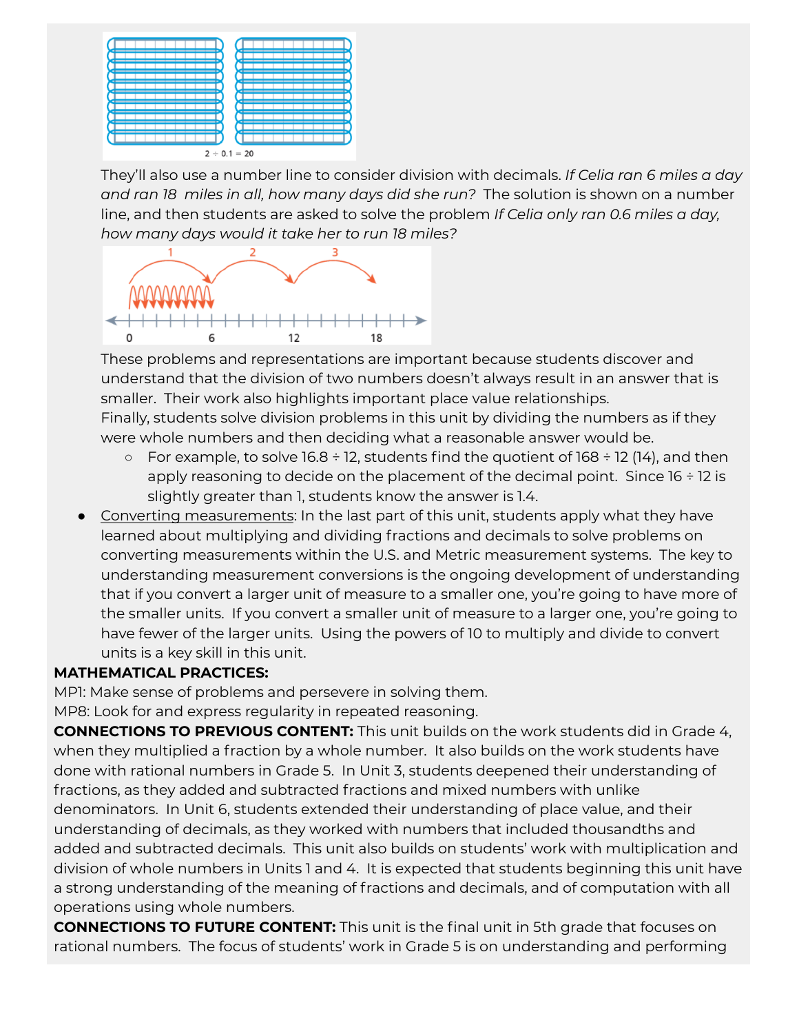

They'll also use a number line to consider division with decimals. *If Celia ran 6 miles a day and ran 18 miles in all, how many days did she run?* The solution is shown on a number line, and then students are asked to solve the problem *If Celia only ran 0.6 miles a day, how many days would it take her to run 18 miles?*



These problems and representations are important because students discover and understand that the division of two numbers doesn't always result in an answer that is smaller. Their work also highlights important place value relationships. Finally, students solve division problems in this unit by dividing the numbers as if they were whole numbers and then deciding what a reasonable answer would be.

- $\circ$  For example, to solve 16.8 ÷ 12, students find the quotient of 168 ÷ 12 (14), and then apply reasoning to decide on the placement of the decimal point. Since  $16 \div 12$  is slightly greater than 1, students know the answer is 1.4.
- Converting measurements: In the last part of this unit, students apply what they have learned about multiplying and dividing fractions and decimals to solve problems on converting measurements within the U.S. and Metric measurement systems. The key to understanding measurement conversions is the ongoing development of understanding that if you convert a larger unit of measure to a smaller one, you're going to have more of the smaller units. If you convert a smaller unit of measure to a larger one, you're going to have fewer of the larger units. Using the powers of 10 to multiply and divide to convert units is a key skill in this unit.

#### **MATHEMATICAL PRACTICES:**

MP1: Make sense of problems and persevere in solving them.

MP8: Look for and express regularity in repeated reasoning.

**CONNECTIONS TO PREVIOUS CONTENT:** This unit builds on the work students did in Grade 4, when they multiplied a fraction by a whole number. It also builds on the work students have done with rational numbers in Grade 5. In Unit 3, students deepened their understanding of fractions, as they added and subtracted fractions and mixed numbers with unlike denominators. In Unit 6, students extended their understanding of place value, and their understanding of decimals, as they worked with numbers that included thousandths and added and subtracted decimals. This unit also builds on students' work with multiplication and division of whole numbers in Units 1 and 4. It is expected that students beginning this unit have a strong understanding of the meaning of fractions and decimals, and of computation with all operations using whole numbers.

**CONNECTIONS TO FUTURE CONTENT:** This unit is the final unit in 5th grade that focuses on rational numbers. The focus of students' work in Grade 5 is on understanding and performing